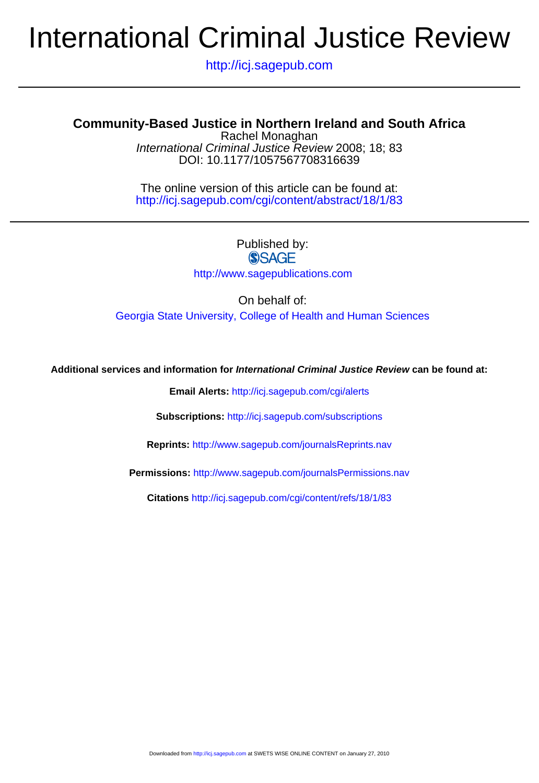# International Criminal Justice Review

http://icj.sagepub.com

DOI: 10.1177/1057567708316639 International Criminal Justice Review 2008; 18; 83 Rachel Monaghan **Community-Based Justice in Northern Ireland and South Africa**

> http://icj.sagepub.com/cgi/content/abstract/18/1/83 The online version of this article can be found at:

> > Published by: **SSAGE** http://www.sagepublications.com

On behalf of: [Georgia State University, College of Health and Human Sciences](http://chhsweb.gsu.edu/)

**Additional services and information for International Criminal Justice Review can be found at:**

**Email Alerts:** <http://icj.sagepub.com/cgi/alerts>

**Subscriptions:** <http://icj.sagepub.com/subscriptions>

**Reprints:** <http://www.sagepub.com/journalsReprints.nav>

**Permissions:** <http://www.sagepub.com/journalsPermissions.nav>

**Citations** <http://icj.sagepub.com/cgi/content/refs/18/1/83>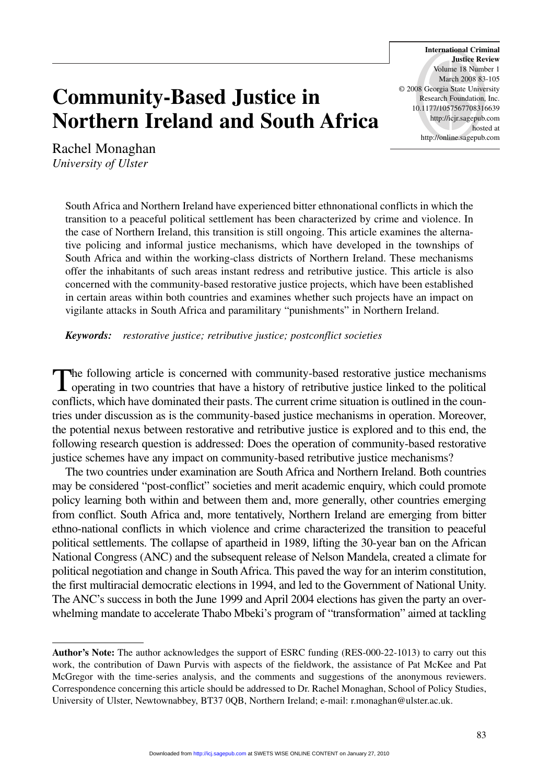# **Community-Based Justice in Northern Ireland and South Africa**

**International Criminal Justice Review** Volume 18 Number 1 March 2008 83-105 © 2008 Georgia State University Research Foundation, Inc. 10.1177/1057567708316639 http://icjr.sagepub.com hosted at http://online.sagepub.com

Rachel Monaghan *University of Ulster*

> South Africa and Northern Ireland have experienced bitter ethnonational conflicts in which the transition to a peaceful political settlement has been characterized by crime and violence. In the case of Northern Ireland, this transition is still ongoing. This article examines the alternative policing and informal justice mechanisms, which have developed in the townships of South Africa and within the working-class districts of Northern Ireland. These mechanisms offer the inhabitants of such areas instant redress and retributive justice. This article is also concerned with the community-based restorative justice projects, which have been established in certain areas within both countries and examines whether such projects have an impact on vigilante attacks in South Africa and paramilitary "punishments" in Northern Ireland.

*Keywords: restorative justice; retributive justice; postconflict societies*

The following article is concerned with community-based restorative justice mechanisms operating in two countries that have a history of retributive justice linked to the political conflicts, which have dominated their pasts. The current crime situation is outlined in the countries under discussion as is the community-based justice mechanisms in operation. Moreover, the potential nexus between restorative and retributive justice is explored and to this end, the following research question is addressed: Does the operation of community-based restorative justice schemes have any impact on community-based retributive justice mechanisms?

The two countries under examination are South Africa and Northern Ireland. Both countries may be considered "post-conflict" societies and merit academic enquiry, which could promote policy learning both within and between them and, more generally, other countries emerging from conflict. South Africa and, more tentatively, Northern Ireland are emerging from bitter ethno-national conflicts in which violence and crime characterized the transition to peaceful political settlements. The collapse of apartheid in 1989, lifting the 30-year ban on the African National Congress (ANC) and the subsequent release of Nelson Mandela, created a climate for political negotiation and change in South Africa. This paved the way for an interim constitution, the first multiracial democratic elections in 1994, and led to the Government of National Unity. The ANC's success in both the June 1999 and April 2004 elections has given the party an overwhelming mandate to accelerate Thabo Mbeki's program of "transformation" aimed at tackling

**Author's Note:** The author acknowledges the support of ESRC funding (RES-000-22-1013) to carry out this work, the contribution of Dawn Purvis with aspects of the fieldwork, the assistance of Pat McKee and Pat McGregor with the time-series analysis, and the comments and suggestions of the anonymous reviewers. Correspondence concerning this article should be addressed to Dr. Rachel Monaghan, School of Policy Studies, University of Ulster, Newtownabbey, BT37 0QB, Northern Ireland; e-mail: r.monaghan@ulster.ac.uk.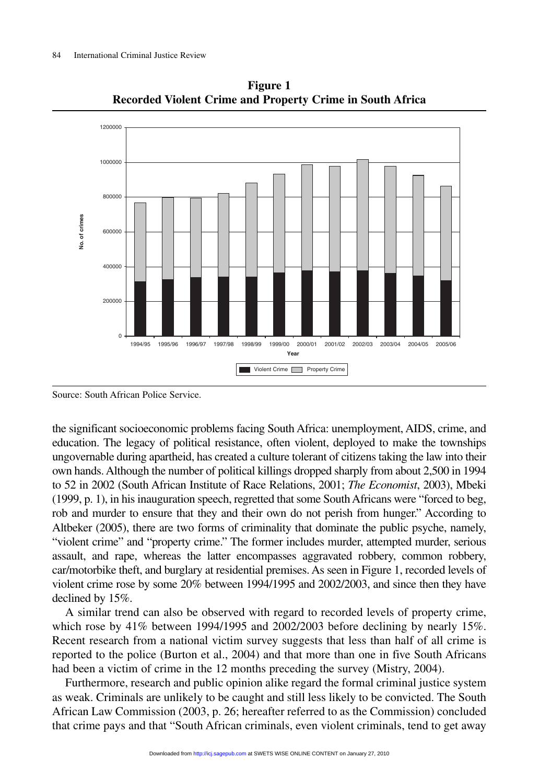

**Figure 1 Recorded Violent Crime and Property Crime in South Africa**

Source: South African Police Service.

the significant socioeconomic problems facing South Africa: unemployment, AIDS, crime, and education. The legacy of political resistance, often violent, deployed to make the townships ungovernable during apartheid, has created a culture tolerant of citizens taking the law into their own hands. Although the number of political killings dropped sharply from about 2,500 in 1994 to 52 in 2002 (South African Institute of Race Relations, 2001; *The Economist*, 2003), Mbeki (1999, p. 1), in his inauguration speech, regretted that some South Africans were "forced to beg, rob and murder to ensure that they and their own do not perish from hunger." According to Altbeker (2005), there are two forms of criminality that dominate the public psyche, namely, "violent crime" and "property crime." The former includes murder, attempted murder, serious assault, and rape, whereas the latter encompasses aggravated robbery, common robbery, car/motorbike theft, and burglary at residential premises. As seen in Figure 1, recorded levels of violent crime rose by some 20% between 1994/1995 and 2002/2003, and since then they have declined by 15%.

A similar trend can also be observed with regard to recorded levels of property crime, which rose by 41% between 1994/1995 and 2002/2003 before declining by nearly 15%. Recent research from a national victim survey suggests that less than half of all crime is reported to the police (Burton et al., 2004) and that more than one in five South Africans had been a victim of crime in the 12 months preceding the survey (Mistry, 2004).

Furthermore, research and public opinion alike regard the formal criminal justice system as weak. Criminals are unlikely to be caught and still less likely to be convicted. The South African Law Commission (2003, p. 26; hereafter referred to as the Commission) concluded that crime pays and that "South African criminals, even violent criminals, tend to get away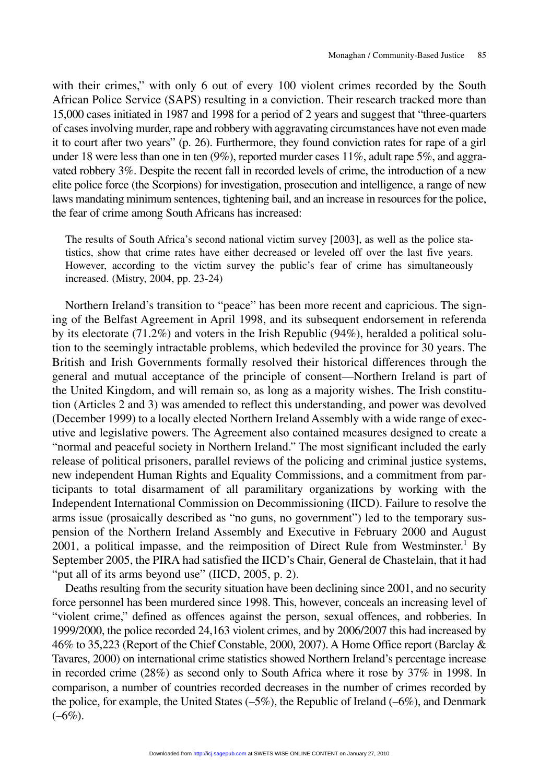with their crimes," with only 6 out of every 100 violent crimes recorded by the South African Police Service (SAPS) resulting in a conviction. Their research tracked more than 15,000 cases initiated in 1987 and 1998 for a period of 2 years and suggest that "three-quarters of cases involving murder, rape and robbery with aggravating circumstances have not even made it to court after two years" (p. 26). Furthermore, they found conviction rates for rape of a girl under 18 were less than one in ten (9%), reported murder cases 11%, adult rape 5%, and aggravated robbery 3%. Despite the recent fall in recorded levels of crime, the introduction of a new elite police force (the Scorpions) for investigation, prosecution and intelligence, a range of new laws mandating minimum sentences, tightening bail, and an increase in resources for the police, the fear of crime among South Africans has increased:

The results of South Africa's second national victim survey [2003], as well as the police statistics, show that crime rates have either decreased or leveled off over the last five years. However, according to the victim survey the public's fear of crime has simultaneously increased. (Mistry, 2004, pp. 23-24)

Northern Ireland's transition to "peace" has been more recent and capricious. The signing of the Belfast Agreement in April 1998, and its subsequent endorsement in referenda by its electorate (71.2%) and voters in the Irish Republic (94%), heralded a political solution to the seemingly intractable problems, which bedeviled the province for 30 years. The British and Irish Governments formally resolved their historical differences through the general and mutual acceptance of the principle of consent—Northern Ireland is part of the United Kingdom, and will remain so, as long as a majority wishes. The Irish constitution (Articles 2 and 3) was amended to reflect this understanding, and power was devolved (December 1999) to a locally elected Northern Ireland Assembly with a wide range of executive and legislative powers. The Agreement also contained measures designed to create a "normal and peaceful society in Northern Ireland." The most significant included the early release of political prisoners, parallel reviews of the policing and criminal justice systems, new independent Human Rights and Equality Commissions, and a commitment from participants to total disarmament of all paramilitary organizations by working with the Independent International Commission on Decommissioning (IICD). Failure to resolve the arms issue (prosaically described as "no guns, no government") led to the temporary suspension of the Northern Ireland Assembly and Executive in February 2000 and August 2001, a political impasse, and the reimposition of Direct Rule from Westminster.<sup>1</sup> By September 2005, the PIRA had satisfied the IICD's Chair, General de Chastelain, that it had "put all of its arms beyond use" (IICD, 2005, p. 2).

Deaths resulting from the security situation have been declining since 2001, and no security force personnel has been murdered since 1998. This, however, conceals an increasing level of "violent crime," defined as offences against the person, sexual offences, and robberies. In 1999/2000, the police recorded 24,163 violent crimes, and by 2006/2007 this had increased by 46% to 35,223 (Report of the Chief Constable, 2000, 2007). A Home Office report (Barclay & Tavares, 2000) on international crime statistics showed Northern Ireland's percentage increase in recorded crime (28%) as second only to South Africa where it rose by 37% in 1998. In comparison, a number of countries recorded decreases in the number of crimes recorded by the police, for example, the United States (–5%), the Republic of Ireland (–6%), and Denmark  $(-6\%)$ .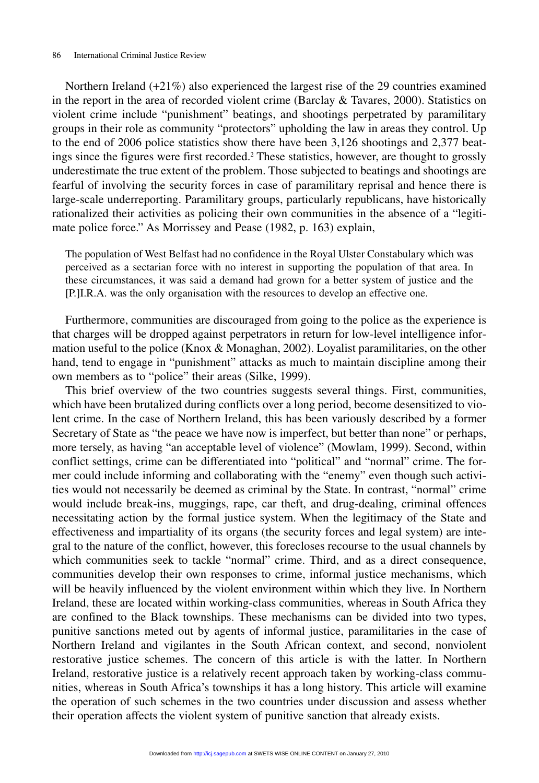Northern Ireland  $(+21\%)$  also experienced the largest rise of the 29 countries examined in the report in the area of recorded violent crime (Barclay & Tavares, 2000). Statistics on violent crime include "punishment" beatings, and shootings perpetrated by paramilitary groups in their role as community "protectors" upholding the law in areas they control. Up to the end of 2006 police statistics show there have been 3,126 shootings and 2,377 beatings since the figures were first recorded.<sup>2</sup> These statistics, however, are thought to grossly underestimate the true extent of the problem. Those subjected to beatings and shootings are fearful of involving the security forces in case of paramilitary reprisal and hence there is large-scale underreporting. Paramilitary groups, particularly republicans, have historically rationalized their activities as policing their own communities in the absence of a "legitimate police force." As Morrissey and Pease (1982, p. 163) explain,

The population of West Belfast had no confidence in the Royal Ulster Constabulary which was perceived as a sectarian force with no interest in supporting the population of that area. In these circumstances, it was said a demand had grown for a better system of justice and the [P.]I.R.A. was the only organisation with the resources to develop an effective one.

Furthermore, communities are discouraged from going to the police as the experience is that charges will be dropped against perpetrators in return for low-level intelligence information useful to the police (Knox & Monaghan, 2002). Loyalist paramilitaries, on the other hand, tend to engage in "punishment" attacks as much to maintain discipline among their own members as to "police" their areas (Silke, 1999).

This brief overview of the two countries suggests several things. First, communities, which have been brutalized during conflicts over a long period, become desensitized to violent crime. In the case of Northern Ireland, this has been variously described by a former Secretary of State as "the peace we have now is imperfect, but better than none" or perhaps, more tersely, as having "an acceptable level of violence" (Mowlam, 1999). Second, within conflict settings, crime can be differentiated into "political" and "normal" crime. The former could include informing and collaborating with the "enemy" even though such activities would not necessarily be deemed as criminal by the State. In contrast, "normal" crime would include break-ins, muggings, rape, car theft, and drug-dealing, criminal offences necessitating action by the formal justice system. When the legitimacy of the State and effectiveness and impartiality of its organs (the security forces and legal system) are integral to the nature of the conflict, however, this forecloses recourse to the usual channels by which communities seek to tackle "normal" crime. Third, and as a direct consequence, communities develop their own responses to crime, informal justice mechanisms, which will be heavily influenced by the violent environment within which they live. In Northern Ireland, these are located within working-class communities, whereas in South Africa they are confined to the Black townships. These mechanisms can be divided into two types, punitive sanctions meted out by agents of informal justice, paramilitaries in the case of Northern Ireland and vigilantes in the South African context, and second, nonviolent restorative justice schemes. The concern of this article is with the latter. In Northern Ireland, restorative justice is a relatively recent approach taken by working-class communities, whereas in South Africa's townships it has a long history. This article will examine the operation of such schemes in the two countries under discussion and assess whether their operation affects the violent system of punitive sanction that already exists.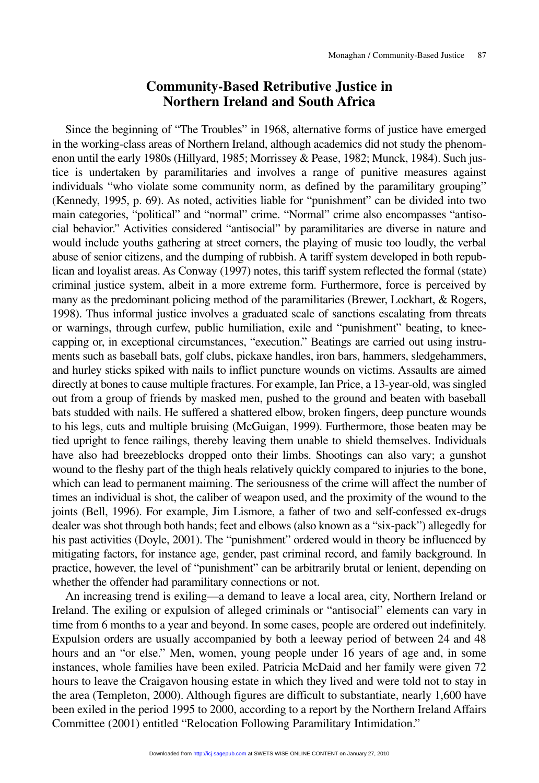## **Community-Based Retributive Justice in Northern Ireland and South Africa**

Since the beginning of "The Troubles" in 1968, alternative forms of justice have emerged in the working-class areas of Northern Ireland, although academics did not study the phenomenon until the early 1980s (Hillyard, 1985; Morrissey & Pease, 1982; Munck, 1984). Such justice is undertaken by paramilitaries and involves a range of punitive measures against individuals "who violate some community norm, as defined by the paramilitary grouping" (Kennedy, 1995, p. 69). As noted, activities liable for "punishment" can be divided into two main categories, "political" and "normal" crime. "Normal" crime also encompasses "antisocial behavior." Activities considered "antisocial" by paramilitaries are diverse in nature and would include youths gathering at street corners, the playing of music too loudly, the verbal abuse of senior citizens, and the dumping of rubbish. A tariff system developed in both republican and loyalist areas. As Conway (1997) notes, this tariff system reflected the formal (state) criminal justice system, albeit in a more extreme form. Furthermore, force is perceived by many as the predominant policing method of the paramilitaries (Brewer, Lockhart, & Rogers, 1998). Thus informal justice involves a graduated scale of sanctions escalating from threats or warnings, through curfew, public humiliation, exile and "punishment" beating, to kneecapping or, in exceptional circumstances, "execution." Beatings are carried out using instruments such as baseball bats, golf clubs, pickaxe handles, iron bars, hammers, sledgehammers, and hurley sticks spiked with nails to inflict puncture wounds on victims. Assaults are aimed directly at bones to cause multiple fractures. For example, Ian Price, a 13-year-old, was singled out from a group of friends by masked men, pushed to the ground and beaten with baseball bats studded with nails. He suffered a shattered elbow, broken fingers, deep puncture wounds to his legs, cuts and multiple bruising (McGuigan, 1999). Furthermore, those beaten may be tied upright to fence railings, thereby leaving them unable to shield themselves. Individuals have also had breezeblocks dropped onto their limbs. Shootings can also vary; a gunshot wound to the fleshy part of the thigh heals relatively quickly compared to injuries to the bone, which can lead to permanent maiming. The seriousness of the crime will affect the number of times an individual is shot, the caliber of weapon used, and the proximity of the wound to the joints (Bell, 1996). For example, Jim Lismore, a father of two and self-confessed ex-drugs dealer was shot through both hands; feet and elbows (also known as a "six-pack") allegedly for his past activities (Doyle, 2001). The "punishment" ordered would in theory be influenced by mitigating factors, for instance age, gender, past criminal record, and family background. In practice, however, the level of "punishment" can be arbitrarily brutal or lenient, depending on whether the offender had paramilitary connections or not.

An increasing trend is exiling—a demand to leave a local area, city, Northern Ireland or Ireland. The exiling or expulsion of alleged criminals or "antisocial" elements can vary in time from 6 months to a year and beyond. In some cases, people are ordered out indefinitely. Expulsion orders are usually accompanied by both a leeway period of between 24 and 48 hours and an "or else." Men, women, young people under 16 years of age and, in some instances, whole families have been exiled. Patricia McDaid and her family were given 72 hours to leave the Craigavon housing estate in which they lived and were told not to stay in the area (Templeton, 2000). Although figures are difficult to substantiate, nearly 1,600 have been exiled in the period 1995 to 2000, according to a report by the Northern Ireland Affairs Committee (2001) entitled "Relocation Following Paramilitary Intimidation."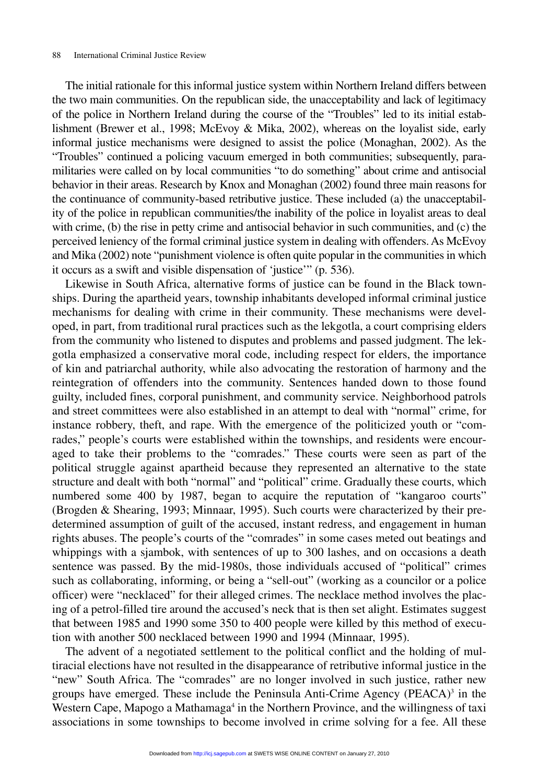The initial rationale for this informal justice system within Northern Ireland differs between the two main communities. On the republican side, the unacceptability and lack of legitimacy of the police in Northern Ireland during the course of the "Troubles" led to its initial establishment (Brewer et al., 1998; McEvoy & Mika, 2002), whereas on the loyalist side, early informal justice mechanisms were designed to assist the police (Monaghan, 2002). As the "Troubles" continued a policing vacuum emerged in both communities; subsequently, paramilitaries were called on by local communities "to do something" about crime and antisocial behavior in their areas. Research by Knox and Monaghan (2002) found three main reasons for the continuance of community-based retributive justice. These included (a) the unacceptability of the police in republican communities/the inability of the police in loyalist areas to deal with crime, (b) the rise in petty crime and antisocial behavior in such communities, and (c) the perceived leniency of the formal criminal justice system in dealing with offenders. As McEvoy and Mika (2002) note "punishment violence is often quite popular in the communities in which it occurs as a swift and visible dispensation of 'justice'" (p. 536).

Likewise in South Africa, alternative forms of justice can be found in the Black townships. During the apartheid years, township inhabitants developed informal criminal justice mechanisms for dealing with crime in their community. These mechanisms were developed, in part, from traditional rural practices such as the lekgotla, a court comprising elders from the community who listened to disputes and problems and passed judgment. The lekgotla emphasized a conservative moral code, including respect for elders, the importance of kin and patriarchal authority, while also advocating the restoration of harmony and the reintegration of offenders into the community. Sentences handed down to those found guilty, included fines, corporal punishment, and community service. Neighborhood patrols and street committees were also established in an attempt to deal with "normal" crime, for instance robbery, theft, and rape. With the emergence of the politicized youth or "comrades," people's courts were established within the townships, and residents were encouraged to take their problems to the "comrades." These courts were seen as part of the political struggle against apartheid because they represented an alternative to the state structure and dealt with both "normal" and "political" crime. Gradually these courts, which numbered some 400 by 1987, began to acquire the reputation of "kangaroo courts" (Brogden & Shearing, 1993; Minnaar, 1995). Such courts were characterized by their predetermined assumption of guilt of the accused, instant redress, and engagement in human rights abuses. The people's courts of the "comrades" in some cases meted out beatings and whippings with a sjambok, with sentences of up to 300 lashes, and on occasions a death sentence was passed. By the mid-1980s, those individuals accused of "political" crimes such as collaborating, informing, or being a "sell-out" (working as a councilor or a police officer) were "necklaced" for their alleged crimes. The necklace method involves the placing of a petrol-filled tire around the accused's neck that is then set alight. Estimates suggest that between 1985 and 1990 some 350 to 400 people were killed by this method of execution with another 500 necklaced between 1990 and 1994 (Minnaar, 1995).

The advent of a negotiated settlement to the political conflict and the holding of multiracial elections have not resulted in the disappearance of retributive informal justice in the "new" South Africa. The "comrades" are no longer involved in such justice, rather new groups have emerged. These include the Peninsula Anti-Crime Agency  $(PEACA)^3$  in the Western Cape, Mapogo a Mathamaga<sup>4</sup> in the Northern Province, and the willingness of taxi associations in some townships to become involved in crime solving for a fee. All these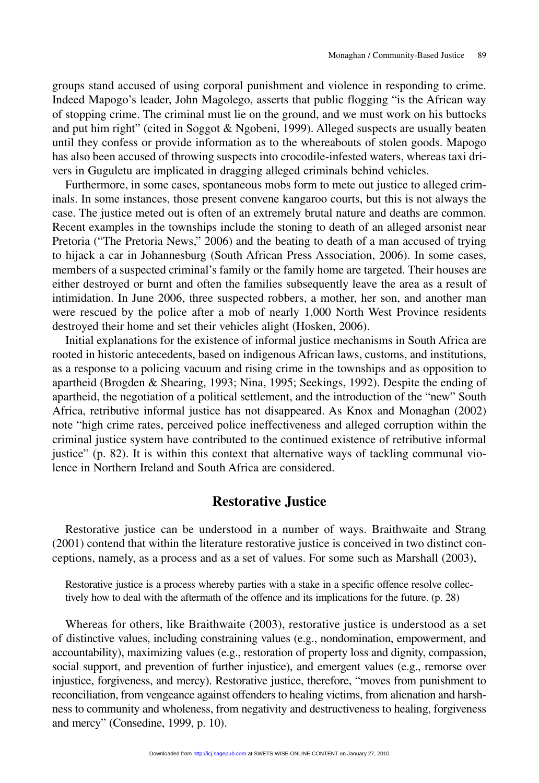groups stand accused of using corporal punishment and violence in responding to crime. Indeed Mapogo's leader, John Magolego, asserts that public flogging "is the African way of stopping crime. The criminal must lie on the ground, and we must work on his buttocks and put him right" (cited in Soggot & Ngobeni, 1999). Alleged suspects are usually beaten until they confess or provide information as to the whereabouts of stolen goods. Mapogo has also been accused of throwing suspects into crocodile-infested waters, whereas taxi drivers in Guguletu are implicated in dragging alleged criminals behind vehicles.

Furthermore, in some cases, spontaneous mobs form to mete out justice to alleged criminals. In some instances, those present convene kangaroo courts, but this is not always the case. The justice meted out is often of an extremely brutal nature and deaths are common. Recent examples in the townships include the stoning to death of an alleged arsonist near Pretoria ("The Pretoria News," 2006) and the beating to death of a man accused of trying to hijack a car in Johannesburg (South African Press Association, 2006). In some cases, members of a suspected criminal's family or the family home are targeted. Their houses are either destroyed or burnt and often the families subsequently leave the area as a result of intimidation. In June 2006, three suspected robbers, a mother, her son, and another man were rescued by the police after a mob of nearly 1,000 North West Province residents destroyed their home and set their vehicles alight (Hosken, 2006).

Initial explanations for the existence of informal justice mechanisms in South Africa are rooted in historic antecedents, based on indigenous African laws, customs, and institutions, as a response to a policing vacuum and rising crime in the townships and as opposition to apartheid (Brogden & Shearing, 1993; Nina, 1995; Seekings, 1992). Despite the ending of apartheid, the negotiation of a political settlement, and the introduction of the "new" South Africa, retributive informal justice has not disappeared. As Knox and Monaghan (2002) note "high crime rates, perceived police ineffectiveness and alleged corruption within the criminal justice system have contributed to the continued existence of retributive informal justice" (p. 82). It is within this context that alternative ways of tackling communal violence in Northern Ireland and South Africa are considered.

#### **Restorative Justice**

Restorative justice can be understood in a number of ways. Braithwaite and Strang (2001) contend that within the literature restorative justice is conceived in two distinct conceptions, namely, as a process and as a set of values. For some such as Marshall (2003),

Restorative justice is a process whereby parties with a stake in a specific offence resolve collectively how to deal with the aftermath of the offence and its implications for the future. (p. 28)

Whereas for others, like Braithwaite (2003), restorative justice is understood as a set of distinctive values, including constraining values (e.g., nondomination, empowerment, and accountability), maximizing values (e.g., restoration of property loss and dignity, compassion, social support, and prevention of further injustice), and emergent values (e.g., remorse over injustice, forgiveness, and mercy). Restorative justice, therefore, "moves from punishment to reconciliation, from vengeance against offenders to healing victims, from alienation and harshness to community and wholeness, from negativity and destructiveness to healing, forgiveness and mercy" (Consedine, 1999, p. 10).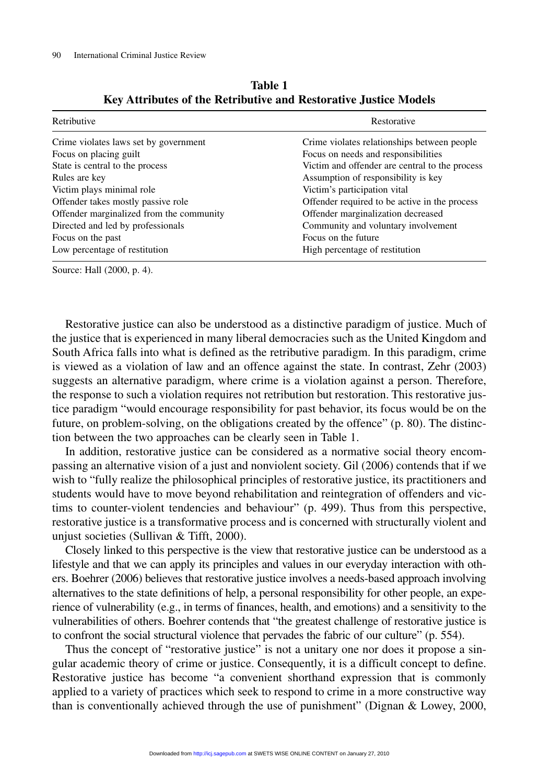| Retributive                              | Restorative                                    |
|------------------------------------------|------------------------------------------------|
| Crime violates laws set by government    | Crime violates relationships between people    |
| Focus on placing guilt                   | Focus on needs and responsibilities            |
| State is central to the process          | Victim and offender are central to the process |
| Rules are key                            | Assumption of responsibility is key            |
| Victim plays minimal role                | Victim's participation vital                   |
| Offender takes mostly passive role       | Offender required to be active in the process  |
| Offender marginalized from the community | Offender marginalization decreased             |
| Directed and led by professionals        | Community and voluntary involvement            |
| Focus on the past                        | Focus on the future                            |
| Low percentage of restitution            | High percentage of restitution                 |

**Table 1 Key Attributes of the Retributive and Restorative Justice Models**

Source: Hall (2000, p. 4).

Restorative justice can also be understood as a distinctive paradigm of justice. Much of the justice that is experienced in many liberal democracies such as the United Kingdom and South Africa falls into what is defined as the retributive paradigm. In this paradigm, crime is viewed as a violation of law and an offence against the state. In contrast, Zehr (2003) suggests an alternative paradigm, where crime is a violation against a person. Therefore, the response to such a violation requires not retribution but restoration. This restorative justice paradigm "would encourage responsibility for past behavior, its focus would be on the future, on problem-solving, on the obligations created by the offence" (p. 80). The distinction between the two approaches can be clearly seen in Table 1.

In addition, restorative justice can be considered as a normative social theory encompassing an alternative vision of a just and nonviolent society. Gil (2006) contends that if we wish to "fully realize the philosophical principles of restorative justice, its practitioners and students would have to move beyond rehabilitation and reintegration of offenders and victims to counter-violent tendencies and behaviour" (p. 499). Thus from this perspective, restorative justice is a transformative process and is concerned with structurally violent and unjust societies (Sullivan & Tifft, 2000).

Closely linked to this perspective is the view that restorative justice can be understood as a lifestyle and that we can apply its principles and values in our everyday interaction with others. Boehrer (2006) believes that restorative justice involves a needs-based approach involving alternatives to the state definitions of help, a personal responsibility for other people, an experience of vulnerability (e.g., in terms of finances, health, and emotions) and a sensitivity to the vulnerabilities of others. Boehrer contends that "the greatest challenge of restorative justice is to confront the social structural violence that pervades the fabric of our culture" (p. 554).

Thus the concept of "restorative justice" is not a unitary one nor does it propose a singular academic theory of crime or justice. Consequently, it is a difficult concept to define. Restorative justice has become "a convenient shorthand expression that is commonly applied to a variety of practices which seek to respond to crime in a more constructive way than is conventionally achieved through the use of punishment" (Dignan & Lowey, 2000,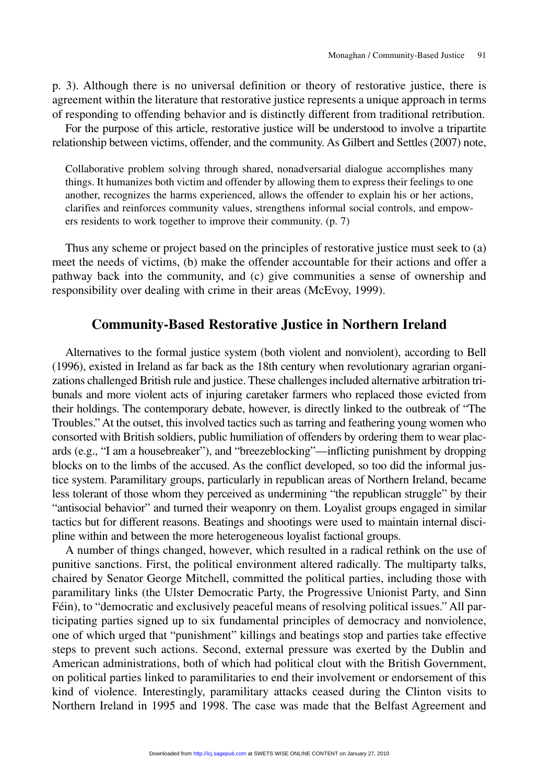p. 3). Although there is no universal definition or theory of restorative justice, there is agreement within the literature that restorative justice represents a unique approach in terms of responding to offending behavior and is distinctly different from traditional retribution.

For the purpose of this article, restorative justice will be understood to involve a tripartite relationship between victims, offender, and the community. As Gilbert and Settles (2007) note,

Collaborative problem solving through shared, nonadversarial dialogue accomplishes many things. It humanizes both victim and offender by allowing them to express their feelings to one another, recognizes the harms experienced, allows the offender to explain his or her actions, clarifies and reinforces community values, strengthens informal social controls, and empowers residents to work together to improve their community. (p. 7)

Thus any scheme or project based on the principles of restorative justice must seek to (a) meet the needs of victims, (b) make the offender accountable for their actions and offer a pathway back into the community, and (c) give communities a sense of ownership and responsibility over dealing with crime in their areas (McEvoy, 1999).

#### **Community-Based Restorative Justice in Northern Ireland**

Alternatives to the formal justice system (both violent and nonviolent), according to Bell (1996), existed in Ireland as far back as the 18th century when revolutionary agrarian organizations challenged British rule and justice. These challenges included alternative arbitration tribunals and more violent acts of injuring caretaker farmers who replaced those evicted from their holdings. The contemporary debate, however, is directly linked to the outbreak of "The Troubles." At the outset, this involved tactics such as tarring and feathering young women who consorted with British soldiers, public humiliation of offenders by ordering them to wear placards (e.g., "I am a housebreaker"), and "breezeblocking"—inflicting punishment by dropping blocks on to the limbs of the accused. As the conflict developed, so too did the informal justice system. Paramilitary groups, particularly in republican areas of Northern Ireland, became less tolerant of those whom they perceived as undermining "the republican struggle" by their "antisocial behavior" and turned their weaponry on them. Loyalist groups engaged in similar tactics but for different reasons. Beatings and shootings were used to maintain internal discipline within and between the more heterogeneous loyalist factional groups.

A number of things changed, however, which resulted in a radical rethink on the use of punitive sanctions. First, the political environment altered radically. The multiparty talks, chaired by Senator George Mitchell, committed the political parties, including those with paramilitary links (the Ulster Democratic Party, the Progressive Unionist Party, and Sinn Féin), to "democratic and exclusively peaceful means of resolving political issues." All participating parties signed up to six fundamental principles of democracy and nonviolence, one of which urged that "punishment" killings and beatings stop and parties take effective steps to prevent such actions. Second, external pressure was exerted by the Dublin and American administrations, both of which had political clout with the British Government, on political parties linked to paramilitaries to end their involvement or endorsement of this kind of violence. Interestingly, paramilitary attacks ceased during the Clinton visits to Northern Ireland in 1995 and 1998. The case was made that the Belfast Agreement and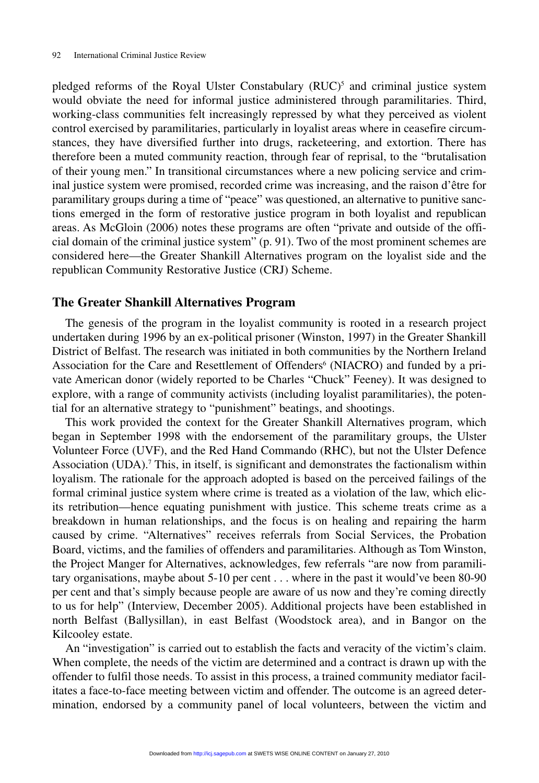pledged reforms of the Royal Ulster Constabulary  $(RUC)^5$  and criminal justice system would obviate the need for informal justice administered through paramilitaries. Third, working-class communities felt increasingly repressed by what they perceived as violent control exercised by paramilitaries, particularly in loyalist areas where in ceasefire circumstances, they have diversified further into drugs, racketeering, and extortion. There has therefore been a muted community reaction, through fear of reprisal, to the "brutalisation of their young men." In transitional circumstances where a new policing service and criminal justice system were promised, recorded crime was increasing, and the raison d'être for paramilitary groups during a time of "peace" was questioned, an alternative to punitive sanctions emerged in the form of restorative justice program in both loyalist and republican areas. As McGloin (2006) notes these programs are often "private and outside of the official domain of the criminal justice system" (p. 91). Two of the most prominent schemes are considered here—the Greater Shankill Alternatives program on the loyalist side and the republican Community Restorative Justice (CRJ) Scheme.

#### **The Greater Shankill Alternatives Program**

The genesis of the program in the loyalist community is rooted in a research project undertaken during 1996 by an ex-political prisoner (Winston, 1997) in the Greater Shankill District of Belfast. The research was initiated in both communities by the Northern Ireland Association for the Care and Resettlement of Offenders<sup>6</sup> (NIACRO) and funded by a private American donor (widely reported to be Charles "Chuck" Feeney). It was designed to explore, with a range of community activists (including loyalist paramilitaries), the potential for an alternative strategy to "punishment" beatings, and shootings.

This work provided the context for the Greater Shankill Alternatives program, which began in September 1998 with the endorsement of the paramilitary groups, the Ulster Volunteer Force (UVF), and the Red Hand Commando (RHC), but not the Ulster Defence Association (UDA).7 This, in itself, is significant and demonstrates the factionalism within loyalism. The rationale for the approach adopted is based on the perceived failings of the formal criminal justice system where crime is treated as a violation of the law, which elicits retribution—hence equating punishment with justice. This scheme treats crime as a breakdown in human relationships, and the focus is on healing and repairing the harm caused by crime. "Alternatives" receives referrals from Social Services, the Probation Board, victims, and the families of offenders and paramilitaries. Although as Tom Winston, the Project Manger for Alternatives, acknowledges, few referrals "are now from paramilitary organisations, maybe about 5-10 per cent . . . where in the past it would've been 80-90 per cent and that's simply because people are aware of us now and they're coming directly to us for help" (Interview, December 2005). Additional projects have been established in north Belfast (Ballysillan), in east Belfast (Woodstock area), and in Bangor on the Kilcooley estate.

An "investigation" is carried out to establish the facts and veracity of the victim's claim. When complete, the needs of the victim are determined and a contract is drawn up with the offender to fulfil those needs. To assist in this process, a trained community mediator facilitates a face-to-face meeting between victim and offender. The outcome is an agreed determination, endorsed by a community panel of local volunteers, between the victim and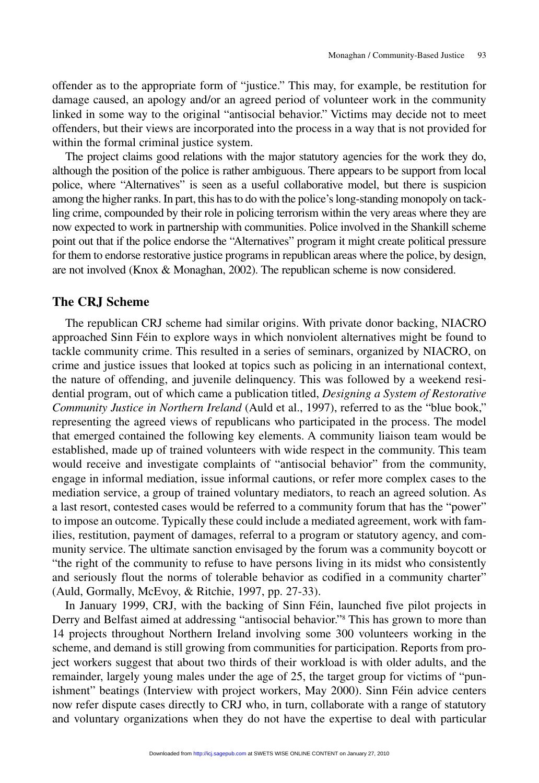offender as to the appropriate form of "justice." This may, for example, be restitution for damage caused, an apology and/or an agreed period of volunteer work in the community linked in some way to the original "antisocial behavior." Victims may decide not to meet offenders, but their views are incorporated into the process in a way that is not provided for within the formal criminal justice system.

The project claims good relations with the major statutory agencies for the work they do, although the position of the police is rather ambiguous. There appears to be support from local police, where "Alternatives" is seen as a useful collaborative model, but there is suspicion among the higher ranks. In part, this has to do with the police's long-standing monopoly on tackling crime, compounded by their role in policing terrorism within the very areas where they are now expected to work in partnership with communities. Police involved in the Shankill scheme point out that if the police endorse the "Alternatives" program it might create political pressure for them to endorse restorative justice programs in republican areas where the police, by design, are not involved (Knox & Monaghan, 2002). The republican scheme is now considered.

#### **The CRJ Scheme**

The republican CRJ scheme had similar origins. With private donor backing, NIACRO approached Sinn Féin to explore ways in which nonviolent alternatives might be found to tackle community crime. This resulted in a series of seminars, organized by NIACRO, on crime and justice issues that looked at topics such as policing in an international context, the nature of offending, and juvenile delinquency. This was followed by a weekend residential program, out of which came a publication titled, *Designing a System of Restorative Community Justice in Northern Ireland* (Auld et al., 1997), referred to as the "blue book," representing the agreed views of republicans who participated in the process. The model that emerged contained the following key elements. A community liaison team would be established, made up of trained volunteers with wide respect in the community. This team would receive and investigate complaints of "antisocial behavior" from the community, engage in informal mediation, issue informal cautions, or refer more complex cases to the mediation service, a group of trained voluntary mediators, to reach an agreed solution. As a last resort, contested cases would be referred to a community forum that has the "power" to impose an outcome. Typically these could include a mediated agreement, work with families, restitution, payment of damages, referral to a program or statutory agency, and community service. The ultimate sanction envisaged by the forum was a community boycott or "the right of the community to refuse to have persons living in its midst who consistently and seriously flout the norms of tolerable behavior as codified in a community charter" (Auld, Gormally, McEvoy, & Ritchie, 1997, pp. 27-33).

In January 1999, CRJ, with the backing of Sinn Féin, launched five pilot projects in Derry and Belfast aimed at addressing "antisocial behavior."8 This has grown to more than 14 projects throughout Northern Ireland involving some 300 volunteers working in the scheme, and demand is still growing from communities for participation. Reports from project workers suggest that about two thirds of their workload is with older adults, and the remainder, largely young males under the age of 25, the target group for victims of "punishment" beatings (Interview with project workers, May 2000). Sinn Féin advice centers now refer dispute cases directly to CRJ who, in turn, collaborate with a range of statutory and voluntary organizations when they do not have the expertise to deal with particular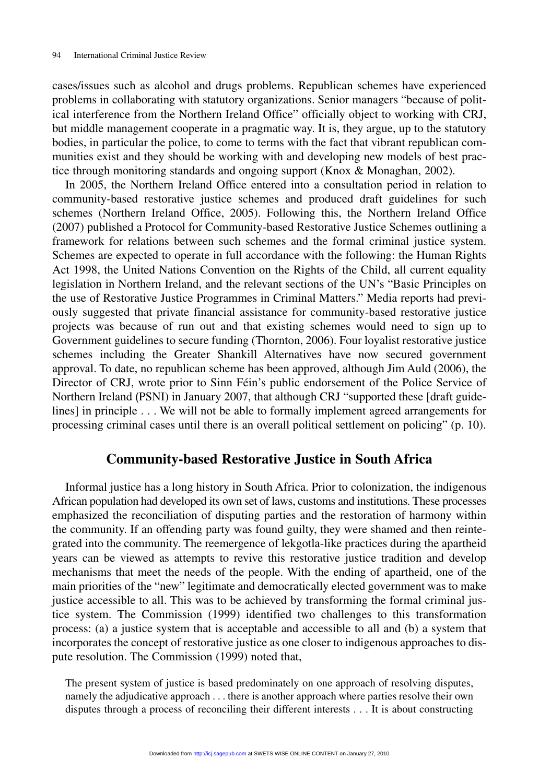cases/issues such as alcohol and drugs problems. Republican schemes have experienced problems in collaborating with statutory organizations. Senior managers "because of political interference from the Northern Ireland Office" officially object to working with CRJ, but middle management cooperate in a pragmatic way. It is, they argue, up to the statutory bodies, in particular the police, to come to terms with the fact that vibrant republican communities exist and they should be working with and developing new models of best practice through monitoring standards and ongoing support (Knox & Monaghan, 2002).

In 2005, the Northern Ireland Office entered into a consultation period in relation to community-based restorative justice schemes and produced draft guidelines for such schemes (Northern Ireland Office, 2005). Following this, the Northern Ireland Office (2007) published a Protocol for Community-based Restorative Justice Schemes outlining a framework for relations between such schemes and the formal criminal justice system. Schemes are expected to operate in full accordance with the following: the Human Rights Act 1998, the United Nations Convention on the Rights of the Child, all current equality legislation in Northern Ireland, and the relevant sections of the UN's "Basic Principles on the use of Restorative Justice Programmes in Criminal Matters." Media reports had previously suggested that private financial assistance for community-based restorative justice projects was because of run out and that existing schemes would need to sign up to Government guidelines to secure funding (Thornton, 2006). Four loyalist restorative justice schemes including the Greater Shankill Alternatives have now secured government approval. To date, no republican scheme has been approved, although Jim Auld (2006), the Director of CRJ, wrote prior to Sinn Féin's public endorsement of the Police Service of Northern Ireland (PSNI) in January 2007, that although CRJ "supported these [draft guidelines] in principle . . . We will not be able to formally implement agreed arrangements for processing criminal cases until there is an overall political settlement on policing" (p. 10).

#### **Community-based Restorative Justice in South Africa**

Informal justice has a long history in South Africa. Prior to colonization, the indigenous African population had developed its own set of laws, customs and institutions. These processes emphasized the reconciliation of disputing parties and the restoration of harmony within the community. If an offending party was found guilty, they were shamed and then reintegrated into the community. The reemergence of lekgotla-like practices during the apartheid years can be viewed as attempts to revive this restorative justice tradition and develop mechanisms that meet the needs of the people. With the ending of apartheid, one of the main priorities of the "new" legitimate and democratically elected government was to make justice accessible to all. This was to be achieved by transforming the formal criminal justice system. The Commission (1999) identified two challenges to this transformation process: (a) a justice system that is acceptable and accessible to all and (b) a system that incorporates the concept of restorative justice as one closer to indigenous approaches to dispute resolution. The Commission (1999) noted that,

The present system of justice is based predominately on one approach of resolving disputes, namely the adjudicative approach . . . there is another approach where parties resolve their own disputes through a process of reconciling their different interests . . . It is about constructing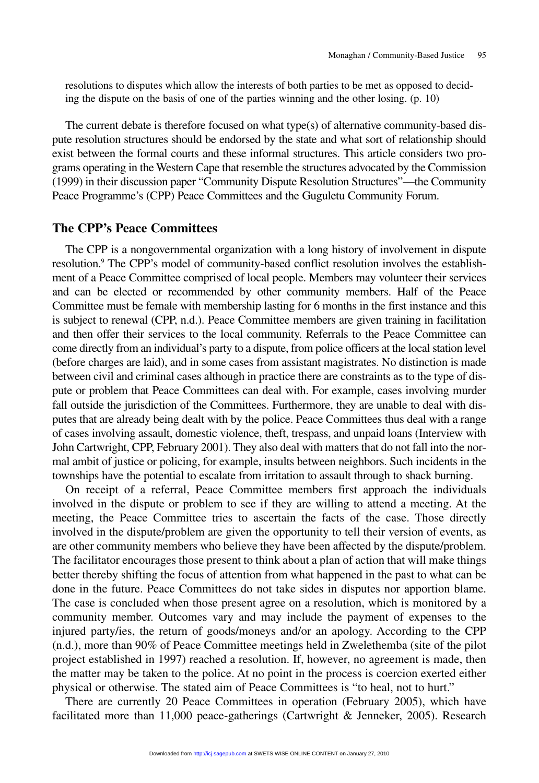resolutions to disputes which allow the interests of both parties to be met as opposed to deciding the dispute on the basis of one of the parties winning and the other losing. (p. 10)

The current debate is therefore focused on what type(s) of alternative community-based dispute resolution structures should be endorsed by the state and what sort of relationship should exist between the formal courts and these informal structures. This article considers two programs operating in the Western Cape that resemble the structures advocated by the Commission (1999) in their discussion paper "Community Dispute Resolution Structures"—the Community Peace Programme's (CPP) Peace Committees and the Guguletu Community Forum.

#### **The CPP's Peace Committees**

The CPP is a nongovernmental organization with a long history of involvement in dispute resolution.<sup>9</sup> The CPP's model of community-based conflict resolution involves the establishment of a Peace Committee comprised of local people. Members may volunteer their services and can be elected or recommended by other community members. Half of the Peace Committee must be female with membership lasting for 6 months in the first instance and this is subject to renewal (CPP, n.d.). Peace Committee members are given training in facilitation and then offer their services to the local community. Referrals to the Peace Committee can come directly from an individual's party to a dispute, from police officers at the local station level (before charges are laid), and in some cases from assistant magistrates. No distinction is made between civil and criminal cases although in practice there are constraints as to the type of dispute or problem that Peace Committees can deal with. For example, cases involving murder fall outside the jurisdiction of the Committees. Furthermore, they are unable to deal with disputes that are already being dealt with by the police. Peace Committees thus deal with a range of cases involving assault, domestic violence, theft, trespass, and unpaid loans (Interview with John Cartwright, CPP, February 2001). They also deal with matters that do not fall into the normal ambit of justice or policing, for example, insults between neighbors. Such incidents in the townships have the potential to escalate from irritation to assault through to shack burning.

On receipt of a referral, Peace Committee members first approach the individuals involved in the dispute or problem to see if they are willing to attend a meeting. At the meeting, the Peace Committee tries to ascertain the facts of the case. Those directly involved in the dispute/problem are given the opportunity to tell their version of events, as are other community members who believe they have been affected by the dispute/problem. The facilitator encourages those present to think about a plan of action that will make things better thereby shifting the focus of attention from what happened in the past to what can be done in the future. Peace Committees do not take sides in disputes nor apportion blame. The case is concluded when those present agree on a resolution, which is monitored by a community member. Outcomes vary and may include the payment of expenses to the injured party/ies, the return of goods/moneys and/or an apology. According to the CPP (n.d.), more than 90% of Peace Committee meetings held in Zwelethemba (site of the pilot project established in 1997) reached a resolution. If, however, no agreement is made, then the matter may be taken to the police. At no point in the process is coercion exerted either physical or otherwise. The stated aim of Peace Committees is "to heal, not to hurt."

There are currently 20 Peace Committees in operation (February 2005), which have facilitated more than 11,000 peace-gatherings (Cartwright & Jenneker, 2005). Research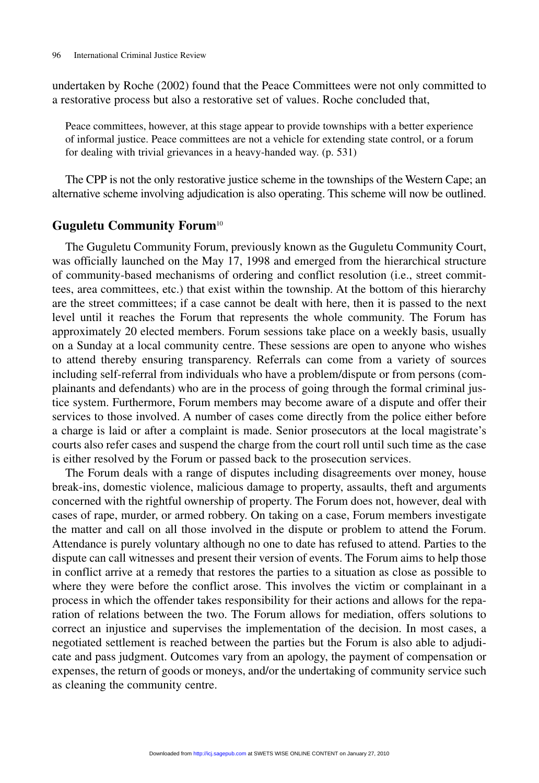undertaken by Roche (2002) found that the Peace Committees were not only committed to a restorative process but also a restorative set of values. Roche concluded that,

Peace committees, however, at this stage appear to provide townships with a better experience of informal justice. Peace committees are not a vehicle for extending state control, or a forum for dealing with trivial grievances in a heavy-handed way. (p. 531)

The CPP is not the only restorative justice scheme in the townships of the Western Cape; an alternative scheme involving adjudication is also operating. This scheme will now be outlined.

#### **Guguletu Community Forum**<sup>10</sup>

The Guguletu Community Forum, previously known as the Guguletu Community Court, was officially launched on the May 17, 1998 and emerged from the hierarchical structure of community-based mechanisms of ordering and conflict resolution (i.e., street committees, area committees, etc.) that exist within the township. At the bottom of this hierarchy are the street committees; if a case cannot be dealt with here, then it is passed to the next level until it reaches the Forum that represents the whole community. The Forum has approximately 20 elected members. Forum sessions take place on a weekly basis, usually on a Sunday at a local community centre. These sessions are open to anyone who wishes to attend thereby ensuring transparency. Referrals can come from a variety of sources including self-referral from individuals who have a problem/dispute or from persons (complainants and defendants) who are in the process of going through the formal criminal justice system. Furthermore, Forum members may become aware of a dispute and offer their services to those involved. A number of cases come directly from the police either before a charge is laid or after a complaint is made. Senior prosecutors at the local magistrate's courts also refer cases and suspend the charge from the court roll until such time as the case is either resolved by the Forum or passed back to the prosecution services.

The Forum deals with a range of disputes including disagreements over money, house break-ins, domestic violence, malicious damage to property, assaults, theft and arguments concerned with the rightful ownership of property. The Forum does not, however, deal with cases of rape, murder, or armed robbery. On taking on a case, Forum members investigate the matter and call on all those involved in the dispute or problem to attend the Forum. Attendance is purely voluntary although no one to date has refused to attend. Parties to the dispute can call witnesses and present their version of events. The Forum aims to help those in conflict arrive at a remedy that restores the parties to a situation as close as possible to where they were before the conflict arose. This involves the victim or complainant in a process in which the offender takes responsibility for their actions and allows for the reparation of relations between the two. The Forum allows for mediation, offers solutions to correct an injustice and supervises the implementation of the decision. In most cases, a negotiated settlement is reached between the parties but the Forum is also able to adjudicate and pass judgment. Outcomes vary from an apology, the payment of compensation or expenses, the return of goods or moneys, and/or the undertaking of community service such as cleaning the community centre.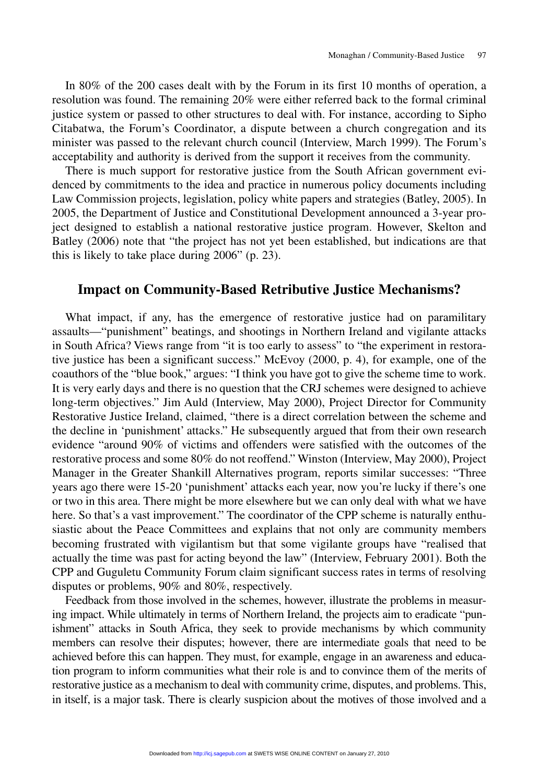In 80% of the 200 cases dealt with by the Forum in its first 10 months of operation, a resolution was found. The remaining 20% were either referred back to the formal criminal justice system or passed to other structures to deal with. For instance, according to Sipho Citabatwa, the Forum's Coordinator, a dispute between a church congregation and its minister was passed to the relevant church council (Interview, March 1999). The Forum's acceptability and authority is derived from the support it receives from the community.

There is much support for restorative justice from the South African government evidenced by commitments to the idea and practice in numerous policy documents including Law Commission projects, legislation, policy white papers and strategies (Batley, 2005). In 2005, the Department of Justice and Constitutional Development announced a 3-year project designed to establish a national restorative justice program. However, Skelton and Batley (2006) note that "the project has not yet been established, but indications are that this is likely to take place during 2006" (p. 23).

#### **Impact on Community-Based Retributive Justice Mechanisms?**

What impact, if any, has the emergence of restorative justice had on paramilitary assaults—"punishment" beatings, and shootings in Northern Ireland and vigilante attacks in South Africa? Views range from "it is too early to assess" to "the experiment in restorative justice has been a significant success." McEvoy (2000, p. 4), for example, one of the coauthors of the "blue book," argues: "I think you have got to give the scheme time to work. It is very early days and there is no question that the CRJ schemes were designed to achieve long-term objectives." Jim Auld (Interview, May 2000), Project Director for Community Restorative Justice Ireland, claimed, "there is a direct correlation between the scheme and the decline in 'punishment' attacks." He subsequently argued that from their own research evidence "around 90% of victims and offenders were satisfied with the outcomes of the restorative process and some 80% do not reoffend." Winston (Interview, May 2000), Project Manager in the Greater Shankill Alternatives program, reports similar successes: "Three years ago there were 15-20 'punishment' attacks each year, now you're lucky if there's one or two in this area. There might be more elsewhere but we can only deal with what we have here. So that's a vast improvement." The coordinator of the CPP scheme is naturally enthusiastic about the Peace Committees and explains that not only are community members becoming frustrated with vigilantism but that some vigilante groups have "realised that actually the time was past for acting beyond the law" (Interview, February 2001). Both the CPP and Guguletu Community Forum claim significant success rates in terms of resolving disputes or problems, 90% and 80%, respectively.

Feedback from those involved in the schemes, however, illustrate the problems in measuring impact. While ultimately in terms of Northern Ireland, the projects aim to eradicate "punishment" attacks in South Africa, they seek to provide mechanisms by which community members can resolve their disputes; however, there are intermediate goals that need to be achieved before this can happen. They must, for example, engage in an awareness and education program to inform communities what their role is and to convince them of the merits of restorative justice as a mechanism to deal with community crime, disputes, and problems. This, in itself, is a major task. There is clearly suspicion about the motives of those involved and a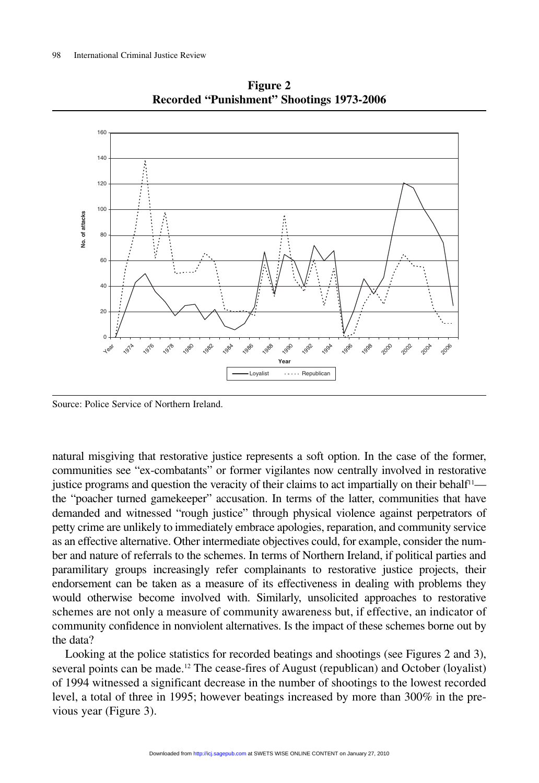

**Figure 2 Recorded "Punishment" Shootings 1973-2006**

Source: Police Service of Northern Ireland.

natural misgiving that restorative justice represents a soft option. In the case of the former, communities see "ex-combatants" or former vigilantes now centrally involved in restorative justice programs and question the veracity of their claims to act impartially on their behalf<sup>11</sup> the "poacher turned gamekeeper" accusation. In terms of the latter, communities that have demanded and witnessed "rough justice" through physical violence against perpetrators of petty crime are unlikely to immediately embrace apologies, reparation, and community service as an effective alternative. Other intermediate objectives could, for example, consider the number and nature of referrals to the schemes. In terms of Northern Ireland, if political parties and paramilitary groups increasingly refer complainants to restorative justice projects, their endorsement can be taken as a measure of its effectiveness in dealing with problems they would otherwise become involved with. Similarly, unsolicited approaches to restorative schemes are not only a measure of community awareness but, if effective, an indicator of community confidence in nonviolent alternatives. Is the impact of these schemes borne out by the data?

Looking at the police statistics for recorded beatings and shootings (see Figures 2 and 3), several points can be made.12 The cease-fires of August (republican) and October (loyalist) of 1994 witnessed a significant decrease in the number of shootings to the lowest recorded level, a total of three in 1995; however beatings increased by more than 300% in the previous year (Figure 3).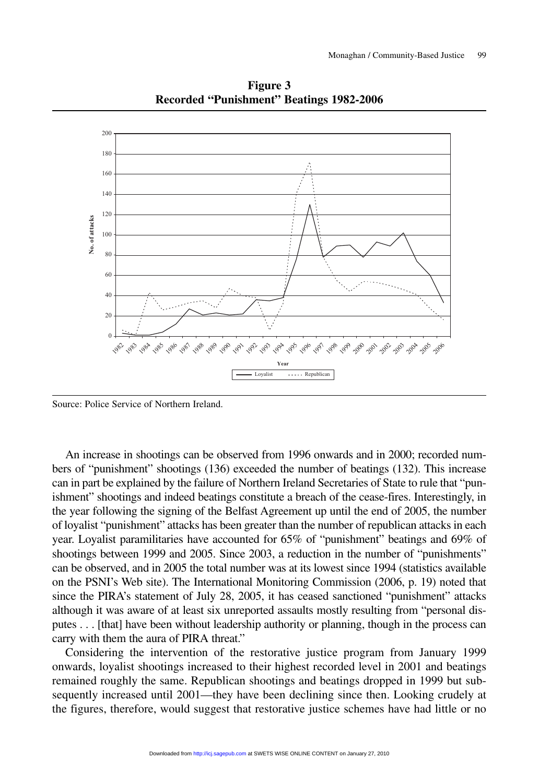

**Figure 3 Recorded "Punishment" Beatings 1982-2006**

Source: Police Service of Northern Ireland.

An increase in shootings can be observed from 1996 onwards and in 2000; recorded numbers of "punishment" shootings (136) exceeded the number of beatings (132). This increase can in part be explained by the failure of Northern Ireland Secretaries of State to rule that "punishment" shootings and indeed beatings constitute a breach of the cease-fires. Interestingly, in the year following the signing of the Belfast Agreement up until the end of 2005, the number of loyalist "punishment" attacks has been greater than the number of republican attacks in each year. Loyalist paramilitaries have accounted for 65% of "punishment" beatings and 69% of shootings between 1999 and 2005. Since 2003, a reduction in the number of "punishments" can be observed, and in 2005 the total number was at its lowest since 1994 (statistics available on the PSNI's Web site). The International Monitoring Commission (2006, p. 19) noted that since the PIRA's statement of July 28, 2005, it has ceased sanctioned "punishment" attacks although it was aware of at least six unreported assaults mostly resulting from "personal disputes . . . [that] have been without leadership authority or planning, though in the process can carry with them the aura of PIRA threat."

Considering the intervention of the restorative justice program from January 1999 onwards, loyalist shootings increased to their highest recorded level in 2001 and beatings remained roughly the same. Republican shootings and beatings dropped in 1999 but subsequently increased until 2001—they have been declining since then. Looking crudely at the figures, therefore, would suggest that restorative justice schemes have had little or no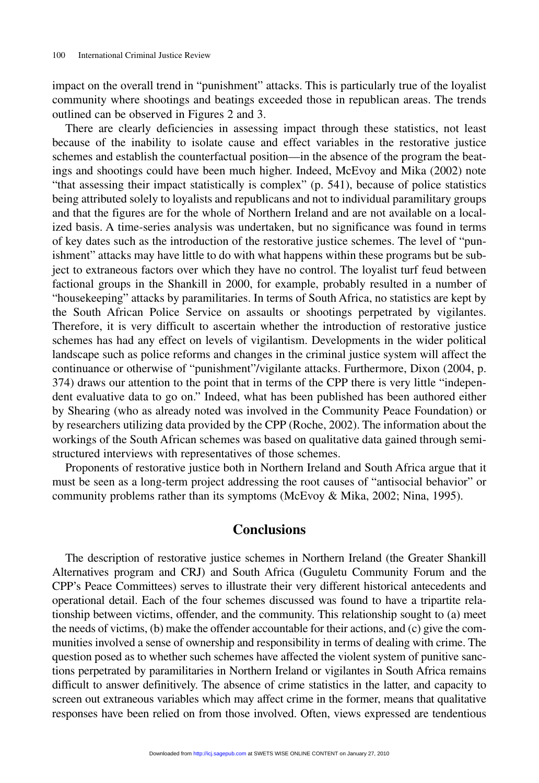impact on the overall trend in "punishment" attacks. This is particularly true of the loyalist community where shootings and beatings exceeded those in republican areas. The trends outlined can be observed in Figures 2 and 3.

There are clearly deficiencies in assessing impact through these statistics, not least because of the inability to isolate cause and effect variables in the restorative justice schemes and establish the counterfactual position—in the absence of the program the beatings and shootings could have been much higher. Indeed, McEvoy and Mika (2002) note "that assessing their impact statistically is complex" (p. 541), because of police statistics being attributed solely to loyalists and republicans and not to individual paramilitary groups and that the figures are for the whole of Northern Ireland and are not available on a localized basis. A time-series analysis was undertaken, but no significance was found in terms of key dates such as the introduction of the restorative justice schemes. The level of "punishment" attacks may have little to do with what happens within these programs but be subject to extraneous factors over which they have no control. The loyalist turf feud between factional groups in the Shankill in 2000, for example, probably resulted in a number of "housekeeping" attacks by paramilitaries. In terms of South Africa, no statistics are kept by the South African Police Service on assaults or shootings perpetrated by vigilantes. Therefore, it is very difficult to ascertain whether the introduction of restorative justice schemes has had any effect on levels of vigilantism. Developments in the wider political landscape such as police reforms and changes in the criminal justice system will affect the continuance or otherwise of "punishment"/vigilante attacks. Furthermore, Dixon (2004, p. 374) draws our attention to the point that in terms of the CPP there is very little "independent evaluative data to go on." Indeed, what has been published has been authored either by Shearing (who as already noted was involved in the Community Peace Foundation) or by researchers utilizing data provided by the CPP (Roche, 2002). The information about the workings of the South African schemes was based on qualitative data gained through semistructured interviews with representatives of those schemes.

Proponents of restorative justice both in Northern Ireland and South Africa argue that it must be seen as a long-term project addressing the root causes of "antisocial behavior" or community problems rather than its symptoms (McEvoy & Mika, 2002; Nina, 1995).

## **Conclusions**

The description of restorative justice schemes in Northern Ireland (the Greater Shankill Alternatives program and CRJ) and South Africa (Guguletu Community Forum and the CPP's Peace Committees) serves to illustrate their very different historical antecedents and operational detail. Each of the four schemes discussed was found to have a tripartite relationship between victims, offender, and the community. This relationship sought to (a) meet the needs of victims, (b) make the offender accountable for their actions, and (c) give the communities involved a sense of ownership and responsibility in terms of dealing with crime. The question posed as to whether such schemes have affected the violent system of punitive sanctions perpetrated by paramilitaries in Northern Ireland or vigilantes in South Africa remains difficult to answer definitively. The absence of crime statistics in the latter, and capacity to screen out extraneous variables which may affect crime in the former, means that qualitative responses have been relied on from those involved. Often, views expressed are tendentious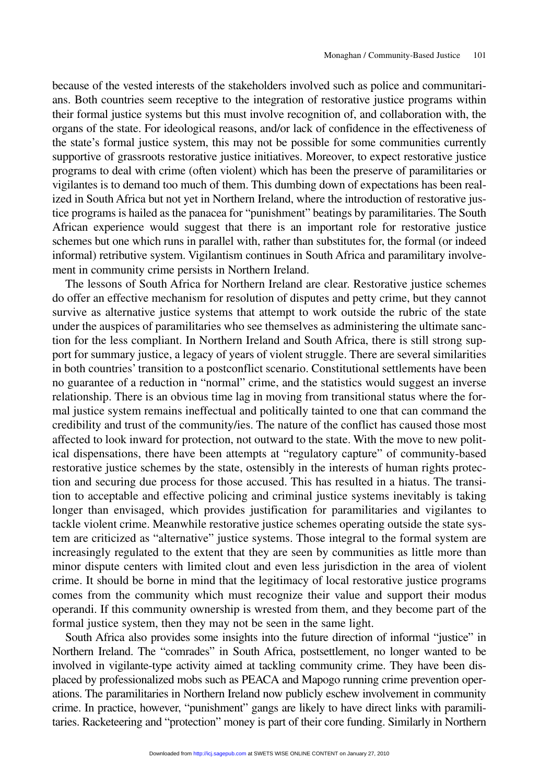because of the vested interests of the stakeholders involved such as police and communitarians. Both countries seem receptive to the integration of restorative justice programs within their formal justice systems but this must involve recognition of, and collaboration with, the organs of the state. For ideological reasons, and/or lack of confidence in the effectiveness of the state's formal justice system, this may not be possible for some communities currently supportive of grassroots restorative justice initiatives. Moreover, to expect restorative justice programs to deal with crime (often violent) which has been the preserve of paramilitaries or vigilantes is to demand too much of them. This dumbing down of expectations has been realized in South Africa but not yet in Northern Ireland, where the introduction of restorative justice programs is hailed as the panacea for "punishment" beatings by paramilitaries. The South African experience would suggest that there is an important role for restorative justice schemes but one which runs in parallel with, rather than substitutes for, the formal (or indeed informal) retributive system. Vigilantism continues in South Africa and paramilitary involvement in community crime persists in Northern Ireland.

The lessons of South Africa for Northern Ireland are clear. Restorative justice schemes do offer an effective mechanism for resolution of disputes and petty crime, but they cannot survive as alternative justice systems that attempt to work outside the rubric of the state under the auspices of paramilitaries who see themselves as administering the ultimate sanction for the less compliant. In Northern Ireland and South Africa, there is still strong support for summary justice, a legacy of years of violent struggle. There are several similarities in both countries' transition to a postconflict scenario. Constitutional settlements have been no guarantee of a reduction in "normal" crime, and the statistics would suggest an inverse relationship. There is an obvious time lag in moving from transitional status where the formal justice system remains ineffectual and politically tainted to one that can command the credibility and trust of the community/ies. The nature of the conflict has caused those most affected to look inward for protection, not outward to the state. With the move to new political dispensations, there have been attempts at "regulatory capture" of community-based restorative justice schemes by the state, ostensibly in the interests of human rights protection and securing due process for those accused. This has resulted in a hiatus. The transition to acceptable and effective policing and criminal justice systems inevitably is taking longer than envisaged, which provides justification for paramilitaries and vigilantes to tackle violent crime. Meanwhile restorative justice schemes operating outside the state system are criticized as "alternative" justice systems. Those integral to the formal system are increasingly regulated to the extent that they are seen by communities as little more than minor dispute centers with limited clout and even less jurisdiction in the area of violent crime. It should be borne in mind that the legitimacy of local restorative justice programs comes from the community which must recognize their value and support their modus operandi. If this community ownership is wrested from them, and they become part of the formal justice system, then they may not be seen in the same light.

South Africa also provides some insights into the future direction of informal "justice" in Northern Ireland. The "comrades" in South Africa, postsettlement, no longer wanted to be involved in vigilante-type activity aimed at tackling community crime. They have been displaced by professionalized mobs such as PEACA and Mapogo running crime prevention operations. The paramilitaries in Northern Ireland now publicly eschew involvement in community crime. In practice, however, "punishment" gangs are likely to have direct links with paramilitaries. Racketeering and "protection" money is part of their core funding. Similarly in Northern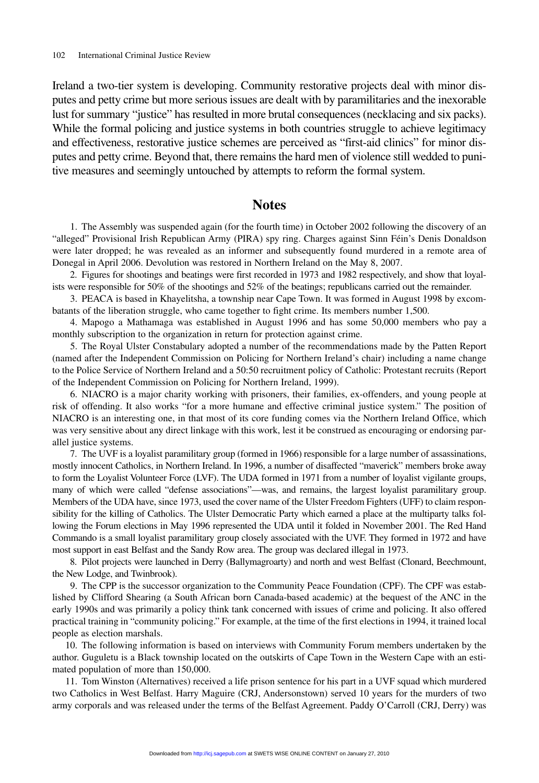Ireland a two-tier system is developing. Community restorative projects deal with minor disputes and petty crime but more serious issues are dealt with by paramilitaries and the inexorable lust for summary "justice" has resulted in more brutal consequences (necklacing and six packs). While the formal policing and justice systems in both countries struggle to achieve legitimacy and effectiveness, restorative justice schemes are perceived as "first-aid clinics" for minor disputes and petty crime. Beyond that, there remains the hard men of violence still wedded to punitive measures and seemingly untouched by attempts to reform the formal system.

#### **Notes**

1. The Assembly was suspended again (for the fourth time) in October 2002 following the discovery of an "alleged" Provisional Irish Republican Army (PIRA) spy ring. Charges against Sinn Féin's Denis Donaldson were later dropped; he was revealed as an informer and subsequently found murdered in a remote area of Donegal in April 2006. Devolution was restored in Northern Ireland on the May 8, 2007.

2. Figures for shootings and beatings were first recorded in 1973 and 1982 respectively, and show that loyalists were responsible for 50% of the shootings and 52% of the beatings; republicans carried out the remainder.

3. PEACA is based in Khayelitsha, a township near Cape Town. It was formed in August 1998 by excombatants of the liberation struggle, who came together to fight crime. Its members number 1,500.

4. Mapogo a Mathamaga was established in August 1996 and has some 50,000 members who pay a monthly subscription to the organization in return for protection against crime.

5. The Royal Ulster Constabulary adopted a number of the recommendations made by the Patten Report (named after the Independent Commission on Policing for Northern Ireland's chair) including a name change to the Police Service of Northern Ireland and a 50:50 recruitment policy of Catholic: Protestant recruits (Report of the Independent Commission on Policing for Northern Ireland, 1999).

6. NIACRO is a major charity working with prisoners, their families, ex-offenders, and young people at risk of offending. It also works "for a more humane and effective criminal justice system." The position of NIACRO is an interesting one, in that most of its core funding comes via the Northern Ireland Office, which was very sensitive about any direct linkage with this work, lest it be construed as encouraging or endorsing parallel justice systems.

7. The UVF is a loyalist paramilitary group (formed in 1966) responsible for a large number of assassinations, mostly innocent Catholics, in Northern Ireland. In 1996, a number of disaffected "maverick" members broke away to form the Loyalist Volunteer Force (LVF). The UDA formed in 1971 from a number of loyalist vigilante groups, many of which were called "defense associations"—was, and remains, the largest loyalist paramilitary group. Members of the UDA have, since 1973, used the cover name of the Ulster Freedom Fighters (UFF) to claim responsibility for the killing of Catholics. The Ulster Democratic Party which earned a place at the multiparty talks following the Forum elections in May 1996 represented the UDA until it folded in November 2001. The Red Hand Commando is a small loyalist paramilitary group closely associated with the UVF. They formed in 1972 and have most support in east Belfast and the Sandy Row area. The group was declared illegal in 1973.

8. Pilot projects were launched in Derry (Ballymagroarty) and north and west Belfast (Clonard, Beechmount, the New Lodge, and Twinbrook).

9. The CPP is the successor organization to the Community Peace Foundation (CPF). The CPF was established by Clifford Shearing (a South African born Canada-based academic) at the bequest of the ANC in the early 1990s and was primarily a policy think tank concerned with issues of crime and policing. It also offered practical training in "community policing." For example, at the time of the first elections in 1994, it trained local people as election marshals.

10. The following information is based on interviews with Community Forum members undertaken by the author. Guguletu is a Black township located on the outskirts of Cape Town in the Western Cape with an estimated population of more than 150,000.

11. Tom Winston (Alternatives) received a life prison sentence for his part in a UVF squad which murdered two Catholics in West Belfast. Harry Maguire (CRJ, Andersonstown) served 10 years for the murders of two army corporals and was released under the terms of the Belfast Agreement. Paddy O'Carroll (CRJ, Derry) was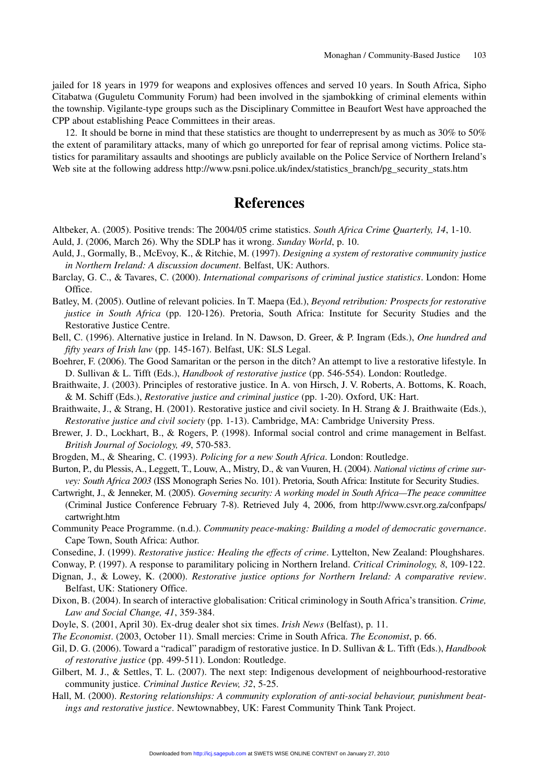jailed for 18 years in 1979 for weapons and explosives offences and served 10 years. In South Africa, Sipho Citabatwa (Guguletu Community Forum) had been involved in the sjambokking of criminal elements within the township. Vigilante-type groups such as the Disciplinary Committee in Beaufort West have approached the CPP about establishing Peace Committees in their areas.

12. It should be borne in mind that these statistics are thought to underrepresent by as much as 30% to 50% the extent of paramilitary attacks, many of which go unreported for fear of reprisal among victims. Police statistics for paramilitary assaults and shootings are publicly available on the Police Service of Northern Ireland's Web site at the following address http://www.psni.police.uk/index/statistics\_branch/pg\_security\_stats.htm

# **References**

- Altbeker, A. (2005). Positive trends: The 2004/05 crime statistics. *South Africa Crime Quarterly, 14*, 1-10. Auld, J. (2006, March 26). Why the SDLP has it wrong. *Sunday World*, p. 10.
- Auld, J., Gormally, B., McEvoy, K., & Ritchie, M. (1997). *Designing a system of restorative community justice in Northern Ireland: A discussion document*. Belfast, UK: Authors.
- Barclay, G. C., & Tavares, C. (2000). *International comparisons of criminal justice statistics*. London: Home Office.
- Batley, M. (2005). Outline of relevant policies. In T. Maepa (Ed.), *Beyond retribution: Prospects for restorative justice in South Africa* (pp. 120-126). Pretoria, South Africa: Institute for Security Studies and the Restorative Justice Centre.
- Bell, C. (1996). Alternative justice in Ireland. In N. Dawson, D. Greer, & P. Ingram (Eds.), *One hundred and fifty years of Irish law* (pp. 145-167). Belfast, UK: SLS Legal.
- Boehrer, F. (2006). The Good Samaritan or the person in the ditch? An attempt to live a restorative lifestyle. In D. Sullivan & L. Tifft (Eds.), *Handbook of restorative justice* (pp. 546-554). London: Routledge.
- Braithwaite, J. (2003). Principles of restorative justice. In A. von Hirsch, J. V. Roberts, A. Bottoms, K. Roach, & M. Schiff (Eds.), *Restorative justice and criminal justice* (pp. 1-20). Oxford, UK: Hart.
- Braithwaite, J., & Strang, H. (2001). Restorative justice and civil society. In H. Strang & J. Braithwaite (Eds.), *Restorative justice and civil society* (pp. 1-13). Cambridge, MA: Cambridge University Press.
- Brewer, J. D., Lockhart, B., & Rogers, P. (1998). Informal social control and crime management in Belfast. *British Journal of Sociology, 49*, 570-583.
- Brogden, M., & Shearing, C. (1993). *Policing for a new South Africa*. London: Routledge.
- Burton, P., du Plessis, A., Leggett, T., Louw, A., Mistry, D., & van Vuuren, H. (2004). *National victims of crime survey: South Africa 2003* (ISS Monograph Series No. 101). Pretoria, South Africa: Institute for Security Studies.
- Cartwright, J., & Jenneker, M. (2005). *Governing security: A working model in South Africa—The peace committee* (Criminal Justice Conference February 7-8). Retrieved July 4, 2006, from http://www.csvr.org.za/confpaps/ cartwright.htm
- Community Peace Programme. (n.d.). *Community peace-making: Building a model of democratic governance*. Cape Town, South Africa: Author.
- Consedine, J. (1999). *Restorative justice: Healing the effects of crime*. Lyttelton, New Zealand: Ploughshares.
- Conway, P. (1997). A response to paramilitary policing in Northern Ireland. *Critical Criminology, 8*, 109-122.
- Dignan, J., & Lowey, K. (2000). *Restorative justice options for Northern Ireland: A comparative review*. Belfast, UK: Stationery Office.
- Dixon, B. (2004). In search of interactive globalisation: Critical criminology in South Africa's transition. *Crime, Law and Social Change, 41*, 359-384.
- Doyle, S. (2001, April 30). Ex-drug dealer shot six times. *Irish News* (Belfast), p. 11.
- *The Economist*. (2003, October 11). Small mercies: Crime in South Africa. *The Economist*, p. 66.
- Gil, D. G. (2006). Toward a "radical" paradigm of restorative justice. In D. Sullivan & L. Tifft (Eds.), *Handbook of restorative justice* (pp. 499-511). London: Routledge.
- Gilbert, M. J., & Settles, T. L. (2007). The next step: Indigenous development of neighbourhood-restorative community justice. *Criminal Justice Review, 32*, 5-25.
- Hall, M. (2000). *Restoring relationships: A community exploration of anti-social behaviour, punishment beatings and restorative justice*. Newtownabbey, UK: Farest Community Think Tank Project.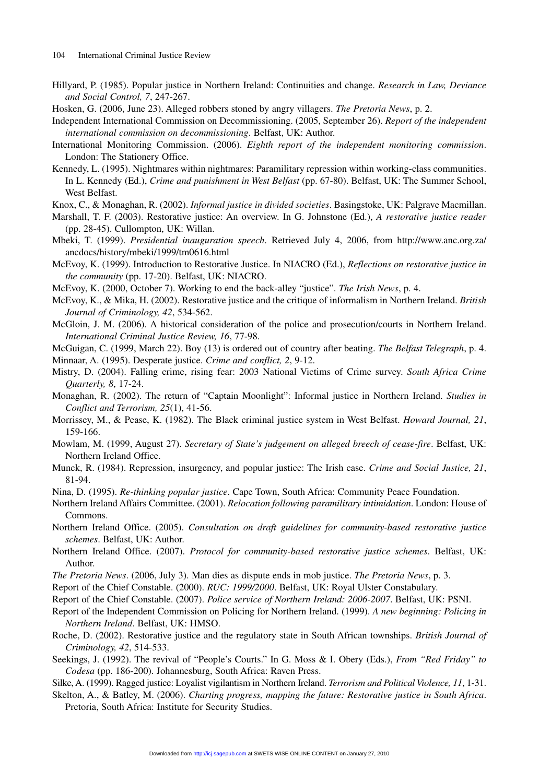- Hillyard, P. (1985). Popular justice in Northern Ireland: Continuities and change. *Research in Law, Deviance and Social Control, 7*, 247-267.
- Hosken, G. (2006, June 23). Alleged robbers stoned by angry villagers. *The Pretoria News*, p. 2.
- Independent International Commission on Decommissioning. (2005, September 26). *Report of the independent international commission on decommissioning*. Belfast, UK: Author.
- International Monitoring Commission. (2006). *Eighth report of the independent monitoring commission*. London: The Stationery Office.
- Kennedy, L. (1995). Nightmares within nightmares: Paramilitary repression within working-class communities. In L. Kennedy (Ed.), *Crime and punishment in West Belfast* (pp. 67-80). Belfast, UK: The Summer School, West Belfast.
- Knox, C., & Monaghan, R. (2002). *Informal justice in divided societies*. Basingstoke, UK: Palgrave Macmillan.
- Marshall, T. F. (2003). Restorative justice: An overview. In G. Johnstone (Ed.), *A restorative justice reader* (pp. 28-45). Cullompton, UK: Willan.
- Mbeki, T. (1999). *Presidential inauguration speech*. Retrieved July 4, 2006, from http://www.anc.org.za/ ancdocs/history/mbeki/1999/tm0616.html
- McEvoy, K. (1999). Introduction to Restorative Justice. In NIACRO (Ed.), *Reflections on restorative justice in the community* (pp. 17-20). Belfast, UK: NIACRO.
- McEvoy, K. (2000, October 7). Working to end the back-alley "justice". *The Irish News*, p. 4.
- McEvoy, K., & Mika, H. (2002). Restorative justice and the critique of informalism in Northern Ireland. *British Journal of Criminology, 42*, 534-562.
- McGloin, J. M. (2006). A historical consideration of the police and prosecution/courts in Northern Ireland. *International Criminal Justice Review, 16*, 77-98.
- McGuigan, C. (1999, March 22). Boy (13) is ordered out of country after beating. *The Belfast Telegraph*, p. 4.
- Minnaar, A. (1995). Desperate justice. *Crime and conflict, 2*, 9-12.
- Mistry, D. (2004). Falling crime, rising fear: 2003 National Victims of Crime survey. *South Africa Crime Quarterly, 8*, 17-24.
- Monaghan, R. (2002). The return of "Captain Moonlight": Informal justice in Northern Ireland. *Studies in Conflict and Terrorism, 25*(1), 41-56.
- Morrissey, M., & Pease, K. (1982). The Black criminal justice system in West Belfast. *Howard Journal, 21*, 159-166.
- Mowlam, M. (1999, August 27). *Secretary of State's judgement on alleged breech of cease-fire*. Belfast, UK: Northern Ireland Office.
- Munck, R. (1984). Repression, insurgency, and popular justice: The Irish case. *Crime and Social Justice, 21*, 81-94.
- Nina, D. (1995). *Re-thinking popular justice*. Cape Town, South Africa: Community Peace Foundation.
- Northern Ireland Affairs Committee. (2001). *Relocation following paramilitary intimidation*. London: House of Commons.
- Northern Ireland Office. (2005). *Consultation on draft guidelines for community-based restorative justice schemes*. Belfast, UK: Author.
- Northern Ireland Office. (2007). *Protocol for community-based restorative justice schemes*. Belfast, UK: Author.
- *The Pretoria News*. (2006, July 3). Man dies as dispute ends in mob justice. *The Pretoria News*, p. 3.
- Report of the Chief Constable. (2000). *RUC: 1999/2000*. Belfast, UK: Royal Ulster Constabulary.
- Report of the Chief Constable. (2007). *Police service of Northern Ireland: 2006-2007*. Belfast, UK: PSNI.
- Report of the Independent Commission on Policing for Northern Ireland. (1999). *A new beginning: Policing in Northern Ireland*. Belfast, UK: HMSO.
- Roche, D. (2002). Restorative justice and the regulatory state in South African townships. *British Journal of Criminology, 42*, 514-533.
- Seekings, J. (1992). The revival of "People's Courts." In G. Moss & I. Obery (Eds.), *From "Red Friday" to Codesa* (pp. 186-200). Johannesburg, South Africa: Raven Press.
- Silke, A. (1999). Ragged justice: Loyalist vigilantism in Northern Ireland. *Terrorism and Political Violence, 11*, 1-31.
- Skelton, A., & Batley, M. (2006). *Charting progress, mapping the future: Restorative justice in South Africa*. Pretoria, South Africa: Institute for Security Studies.